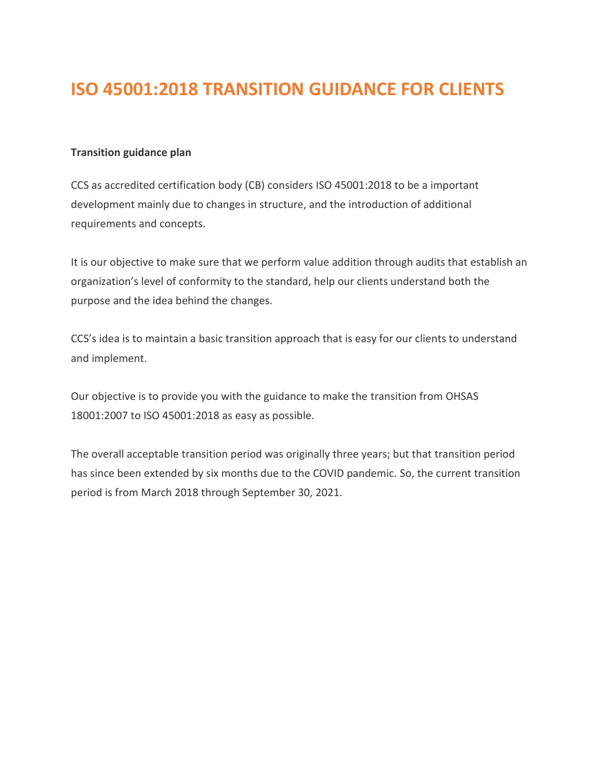# **ISO 45001:2018 TRANSITION GUIDANCE FOR CLIENTS**

# **Transition guidance plan**

CCS as accredited certification body (CB) considers ISO 45001:2018 to be a important development mainly due to changes in structure, and the introduction of additional requirements and concepts.

It is our objective to make sure that we perform value addition through audits that establish an organization's level of conformity to the standard, help our clients understand both the purpose and the idea behind the changes.

CCS's idea is to maintain a basic transition approach that is easy for our clients to understand and implement.

Our objective is to provide you with the guidance to make the transition from OHSAS 18001:2007 to ISO 45001:2018 as easy as possible.

The overall acceptable transition period was originally three years; but that transition period has since been extended by six months due to the COVID pandemic. So, the current transition period is from March 2018 through September 30, 2021.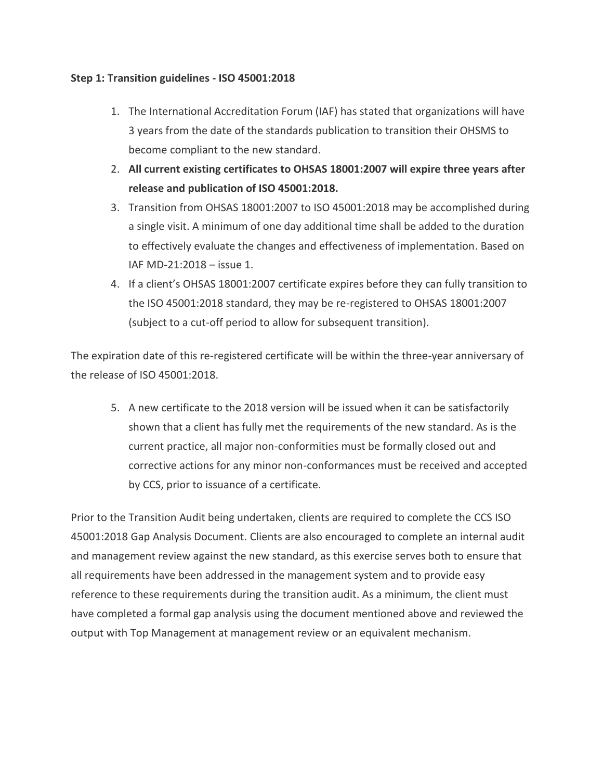## **Step 1: Transition guidelines - ISO 45001:2018**

- 1. The International Accreditation Forum (IAF) has stated that organizations will have 3 years from the date of the standards publication to transition their OHSMS to become compliant to the new standard.
- 2. **All current existing certificates to OHSAS 18001:2007 will expire three years after release and publication of ISO 45001:2018.**
- 3. Transition from OHSAS 18001:2007 to ISO 45001:2018 may be accomplished during a single visit. A minimum of one day additional time shall be added to the duration to effectively evaluate the changes and effectiveness of implementation. Based on IAF MD-21:2018 – issue 1.
- 4. If a client's OHSAS 18001:2007 certificate expires before they can fully transition to the ISO 45001:2018 standard, they may be re-registered to OHSAS 18001:2007 (subject to a cut-off period to allow for subsequent transition).

The expiration date of this re-registered certificate will be within the three-year anniversary of the release of ISO 45001:2018.

5. A new certificate to the 2018 version will be issued when it can be satisfactorily shown that a client has fully met the requirements of the new standard. As is the current practice, all major non-conformities must be formally closed out and corrective actions for any minor non-conformances must be received and accepted by CCS, prior to issuance of a certificate.

Prior to the Transition Audit being undertaken, clients are required to complete the CCS ISO 45001:2018 Gap Analysis Document. Clients are also encouraged to complete an internal audit and management review against the new standard, as this exercise serves both to ensure that all requirements have been addressed in the management system and to provide easy reference to these requirements during the transition audit. As a minimum, the client must have completed a formal gap analysis using the document mentioned above and reviewed the output with Top Management at management review or an equivalent mechanism.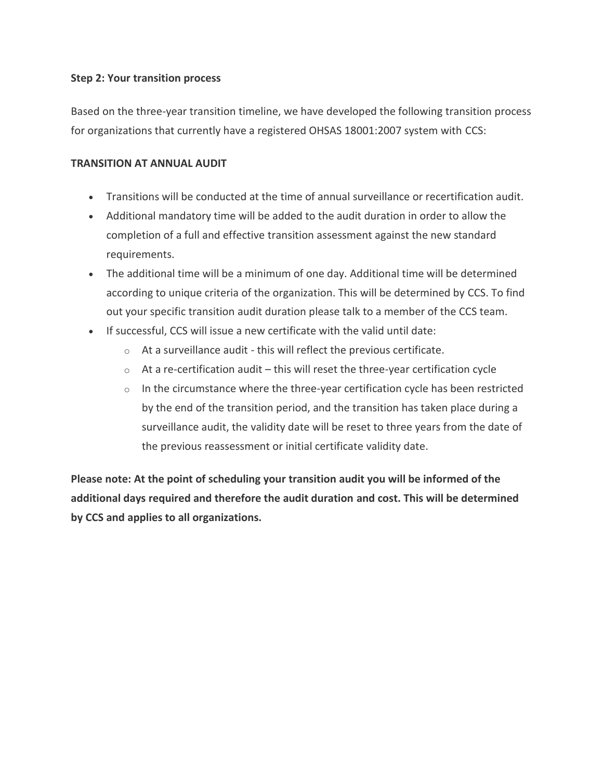### **Step 2: Your transition process**

Based on the three-year transition timeline, we have developed the following transition process for organizations that currently have a registered OHSAS 18001:2007 system with CCS:

## **TRANSITION AT ANNUAL AUDIT**

- Transitions will be conducted at the time of annual surveillance or recertification audit.
- Additional mandatory time will be added to the audit duration in order to allow the completion of a full and effective transition assessment against the new standard requirements.
- The additional time will be a minimum of one day. Additional time will be determined according to unique criteria of the organization. This will be determined by CCS. To find out your specific transition audit duration please talk to a member of the CCS team.
- If successful, CCS will issue a new certificate with the valid until date:
	- $\circ$  At a surveillance audit this will reflect the previous certificate.
	- $\circ$  At a re-certification audit this will reset the three-year certification cycle
	- o In the circumstance where the three-year certification cycle has been restricted by the end of the transition period, and the transition has taken place during a surveillance audit, the validity date will be reset to three years from the date of the previous reassessment or initial certificate validity date.

**Please note: At the point of scheduling your transition audit you will be informed of the additional days required and therefore the audit duration and cost. This will be determined by CCS and applies to all organizations.**